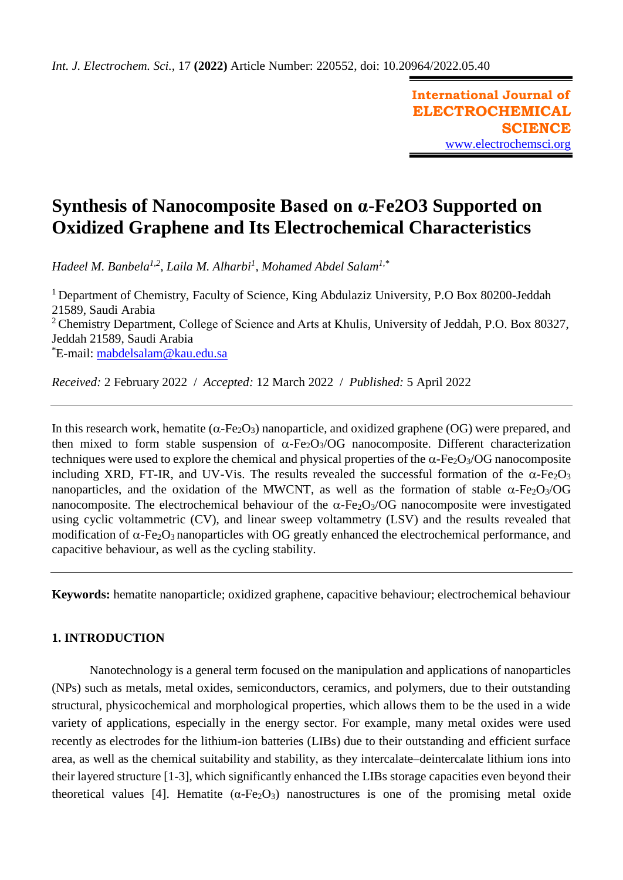**International Journal of ELECTROCHEMICAL SCIENCE** [www.electrochemsci.org](http://www.electrochemsci.org/)

# **Synthesis of Nanocomposite Based on α-Fe2O3 Supported on Oxidized Graphene and Its Electrochemical Characteristics**

*Hadeel M. Banbela1,2, Laila M. Alharbi<sup>1</sup> , Mohamed Abdel Salam1,\**

<sup>1</sup> Department of Chemistry, Faculty of Science, King Abdulaziz University, P.O Box 80200-Jeddah 21589, Saudi Arabia <sup>2</sup> Chemistry Department, College of Science and Arts at Khulis, University of Jeddah, P.O. Box 80327, Jeddah 21589, Saudi Arabia \*E-mail: [mabdelsalam@kau.edu.sa](mailto:mabdelsalam@kau.edu.sa)

*Received:* 2 February 2022/ *Accepted:* 12 March 2022 / *Published:* 5 April 2022

In this research work, hematite ( $\alpha$ -Fe<sub>2</sub>O<sub>3</sub>) nanoparticle, and oxidized graphene (OG) were prepared, and then mixed to form stable suspension of  $\alpha$ -Fe<sub>2</sub>O<sub>3</sub>/OG nanocomposite. Different characterization techniques were used to explore the chemical and physical properties of the  $\alpha$ -Fe<sub>2</sub>O<sub>3</sub>/OG nanocomposite including XRD, FT-IR, and UV-Vis. The results revealed the successful formation of the  $\alpha$ -Fe<sub>2</sub>O<sub>3</sub> nanoparticles, and the oxidation of the MWCNT, as well as the formation of stable  $\alpha$ -Fe<sub>2</sub>O<sub>3</sub>/OG nanocomposite. The electrochemical behaviour of the  $\alpha$ -Fe<sub>2</sub>O<sub>3</sub>/OG nanocomposite were investigated using cyclic voltammetric (CV), and linear sweep voltammetry (LSV) and the results revealed that modification of  $\alpha$ -Fe<sub>2</sub>O<sub>3</sub> nanoparticles with OG greatly enhanced the electrochemical performance, and capacitive behaviour, as well as the cycling stability.

**Keywords:** hematite nanoparticle; oxidized graphene, capacitive behaviour; electrochemical behaviour

# **1. INTRODUCTION**

Nanotechnology is a general term focused on the manipulation and applications of nanoparticles (NPs) such as metals, metal oxides, semiconductors, ceramics, and polymers, due to their outstanding structural, physicochemical and morphological properties, which allows them to be the used in a wide variety of applications, especially in the energy sector. For example, many metal oxides were used recently as electrodes for the lithium-ion batteries (LIBs) due to their outstanding and efficient surface area, as well as the chemical suitability and stability, as they intercalate–deintercalate lithium ions into their layered structure [1-3], which significantly enhanced the LIBs storage capacities even beyond their theoretical values [4]. Hematite  $(\alpha$ -Fe<sub>2</sub>O<sub>3</sub>) nanostructures is one of the promising metal oxide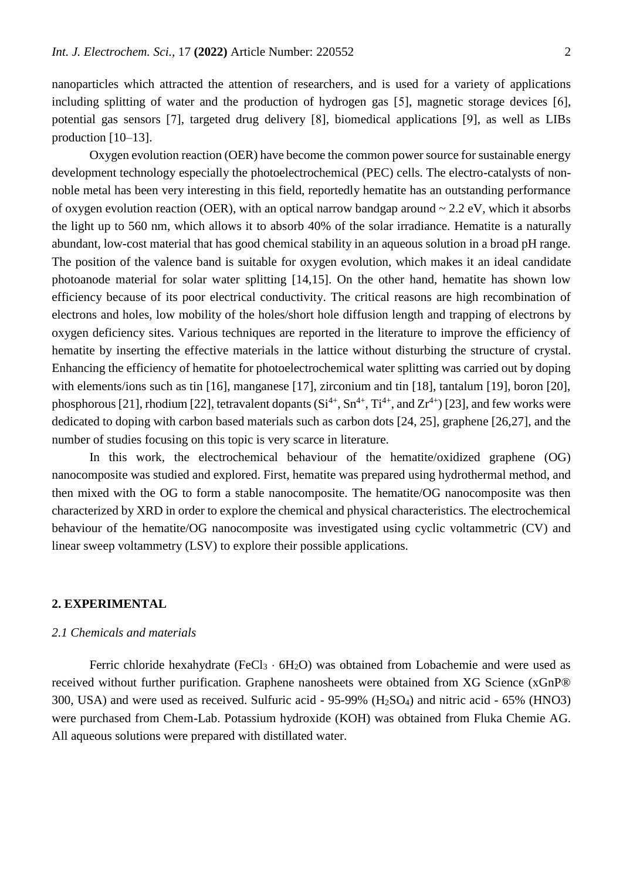nanoparticles which attracted the attention of researchers, and is used for a variety of applications including splitting of water and the production of hydrogen gas [5], magnetic storage devices [6], potential gas sensors [7], targeted drug delivery [8], biomedical applications [9], as well as LIBs production [10–13].

Oxygen evolution reaction (OER) have become the common power source for sustainable energy development technology especially the photoelectrochemical (PEC) cells. The electro-catalysts of nonnoble metal has been very interesting in this field, reportedly hematite has an outstanding performance of oxygen evolution reaction (OER), with an optical narrow bandgap around  $\sim 2.2$  eV, which it absorbs the light up to 560 nm, which allows it to absorb 40% of the solar irradiance. Hematite is a naturally abundant, low-cost material that has good chemical stability in an aqueous solution in a broad pH range. The position of the valence band is suitable for oxygen evolution, which makes it an ideal candidate photoanode material for solar water splitting [14,15]. On the other hand, hematite has shown low efficiency because of its poor electrical conductivity. The critical reasons are high recombination of electrons and holes, low mobility of the holes/short hole diffusion length and trapping of electrons by oxygen deficiency sites. Various techniques are reported in the literature to improve the efficiency of hematite by inserting the effective materials in the lattice without disturbing the structure of crystal. Enhancing the efficiency of hematite for photoelectrochemical water splitting was carried out by doping with elements/ions such as tin [16], manganese [17], zirconium and tin [18], tantalum [19], boron [20], phosphorous [21], rhodium [22], tetravalent dopants  $(Si^{4+}, Sn^{4+}, Ti^{4+}, and Zr^{4+})$  [23], and few works were dedicated to doping with carbon based materials such as carbon dots [24, 25], graphene [26,27], and the number of studies focusing on this topic is very scarce in literature.

In this work, the electrochemical behaviour of the hematite/oxidized graphene (OG) nanocomposite was studied and explored. First, hematite was prepared using hydrothermal method, and then mixed with the OG to form a stable nanocomposite. The hematite/OG nanocomposite was then characterized by XRD in order to explore the chemical and physical characteristics. The electrochemical behaviour of the hematite/OG nanocomposite was investigated using cyclic voltammetric (CV) and linear sweep voltammetry (LSV) to explore their possible applications.

## **2. EXPERIMENTAL**

## *2.1 Chemicals and materials*

Ferric chloride hexahydrate (FeCl<sub>3</sub>  $\cdot$  6H<sub>2</sub>O) was obtained from Lobachemie and were used as received without further purification. Graphene nanosheets were obtained from XG Science (xGnP® 300, USA) and were used as received. Sulfuric acid - 95-99% (H2SO4) and nitric acid - 65% (HNO3) were purchased from Chem-Lab. Potassium hydroxide (KOH) was obtained from Fluka Chemie AG. All aqueous solutions were prepared with distillated water.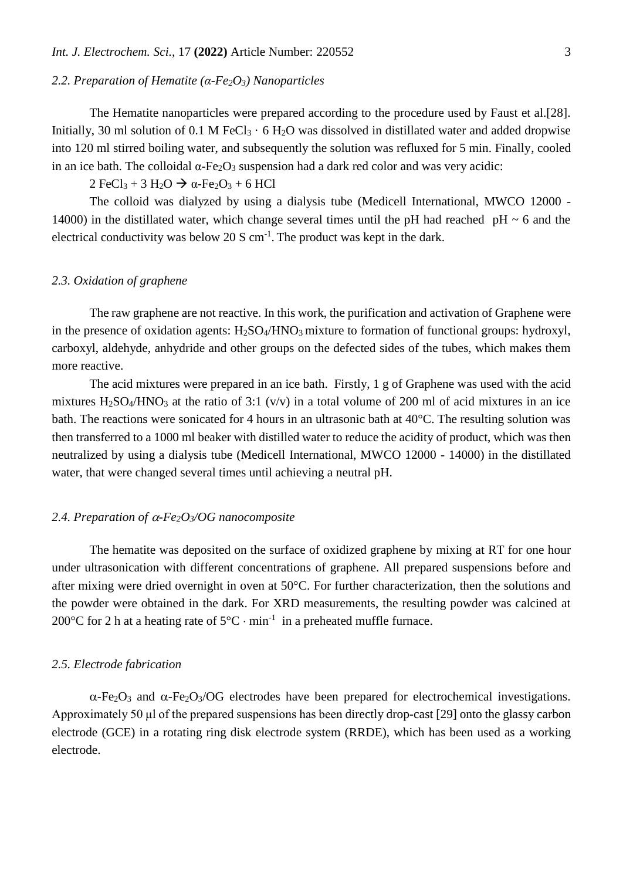## *2.2. Preparation of Hematite (α-Fe2O3) Nanoparticles*

The Hematite nanoparticles were prepared according to the procedure used by Faust et al.[28]. Initially, 30 ml solution of 0.1 M FeCl<sub>3</sub>  $\cdot$  6 H<sub>2</sub>O was dissolved in distillated water and added dropwise into 120 ml stirred boiling water, and subsequently the solution was refluxed for 5 min. Finally, cooled in an ice bath. The colloidal  $\alpha$ -Fe<sub>2</sub>O<sub>3</sub> suspension had a dark red color and was very acidic:

 $2 \text{FeCl}_3 + 3 \text{H}_2\text{O} \rightarrow \alpha\text{-Fe}_2\text{O}_3 + 6 \text{HCl}$ 

The colloid was dialyzed by using a dialysis tube (Medicell International, MWCO 12000 - 14000) in the distillated water, which change several times until the pH had reached pH  $\sim$  6 and the electrical conductivity was below 20 S  $cm^{-1}$ . The product was kept in the dark.

## *2.3. Oxidation of graphene*

The raw graphene are not reactive. In this work, the purification and activation of Graphene were in the presence of oxidation agents: H<sub>2</sub>SO<sub>4</sub>/HNO<sub>3</sub> mixture to formation of functional groups: hydroxyl, carboxyl, aldehyde, anhydride and other groups on the defected sides of the tubes, which makes them more reactive.

The acid mixtures were prepared in an ice bath. Firstly, 1 g of Graphene was used with the acid mixtures  $H_2SO_4/HNO_3$  at the ratio of 3:1 (v/v) in a total volume of 200 ml of acid mixtures in an ice bath. The reactions were sonicated for 4 hours in an ultrasonic bath at 40°C. The resulting solution was then transferred to a 1000 ml beaker with distilled water to reduce the acidity of product, which was then neutralized by using a dialysis tube (Medicell International, MWCO 12000 - 14000) in the distillated water, that were changed several times until achieving a neutral pH.

# 2.4. Preparation of  $\alpha$ -Fe<sub>2</sub>O<sub>3</sub>/OG nanocomposite

The hematite was deposited on the surface of oxidized graphene by mixing at RT for one hour under ultrasonication with different concentrations of graphene. All prepared suspensions before and after mixing were dried overnight in oven at 50°C. For further characterization, then the solutions and the powder were obtained in the dark. For XRD measurements, the resulting powder was calcined at 200°C for 2 h at a heating rate of  $5^{\circ}$ C  $\cdot$  min<sup>-1</sup> in a preheated muffle furnace.

## *2.5. Electrode fabrication*

 $\alpha$ -Fe<sub>2</sub>O<sub>3</sub> and  $\alpha$ -Fe<sub>2</sub>O<sub>3</sub>/OG electrodes have been prepared for electrochemical investigations. Approximately 50 μl of the prepared suspensions has been directly drop-cast [29] onto the glassy carbon electrode (GCE) in a rotating ring disk electrode system (RRDE), which has been used as a working electrode.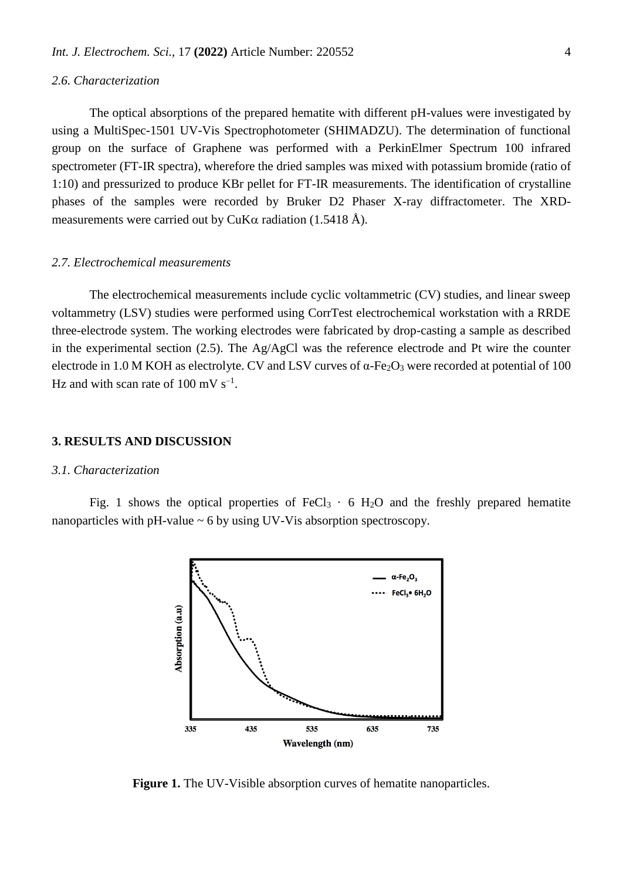#### *2.6. Characterization*

The optical absorptions of the prepared hematite with different pH-values were investigated by using a MultiSpec-1501 UV-Vis Spectrophotometer (SHIMADZU). The determination of functional group on the surface of Graphene was performed with a PerkinElmer Spectrum 100 infrared spectrometer (FT-IR spectra), wherefore the dried samples was mixed with potassium bromide (ratio of 1:10) and pressurized to produce KBr pellet for FT-IR measurements. The identification of crystalline phases of the samples were recorded by Bruker D2 Phaser X-ray diffractometer. The XRDmeasurements were carried out by CuK $\alpha$  radiation (1.5418 Å).

## *2.7. Electrochemical measurements*

The electrochemical measurements include cyclic voltammetric (CV) studies, and linear sweep voltammetry (LSV) studies were performed using CorrTest electrochemical workstation with a RRDE three-electrode system. The working electrodes were fabricated by drop-casting a sample as described in the experimental section (2.5). The Ag/AgCl was the reference electrode and Pt wire the counter electrode in 1.0 M KOH as electrolyte. CV and LSV curves of  $\alpha$ -Fe<sub>2</sub>O<sub>3</sub> were recorded at potential of 100 Hz and with scan rate of  $100 \text{ mV s}^{-1}$ .

## **3. RESULTS AND DISCUSSION**

## *3.1. Characterization*

Fig. 1 shows the optical properties of FeCl $_3 \cdot 6$  H<sub>2</sub>O and the freshly prepared hematite nanoparticles with  $pH$ -value  $\sim$  6 by using UV-Vis absorption spectroscopy.



Figure 1. The UV-Visible absorption curves of hematite nanoparticles.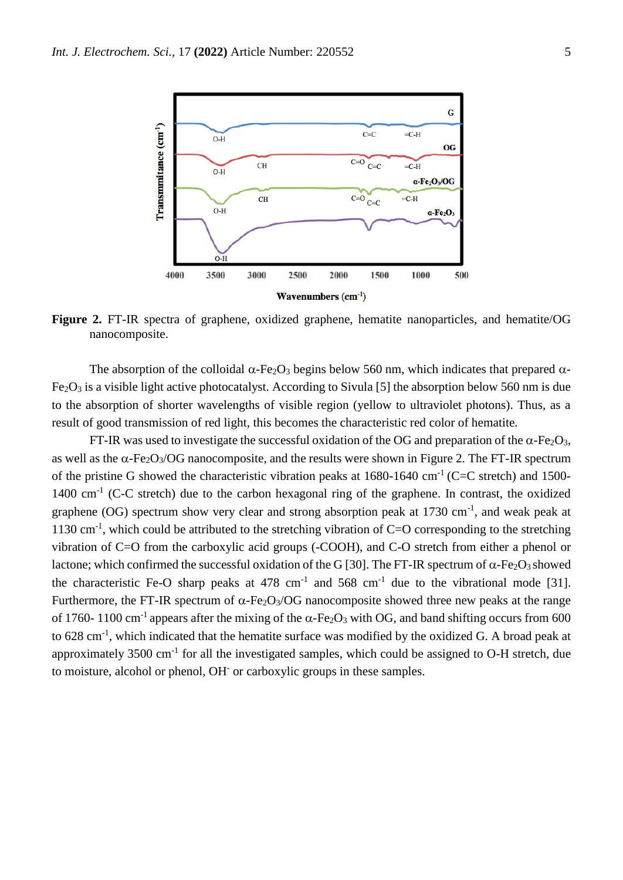

**Figure 2.** FT-IR spectra of graphene, oxidized graphene, hematite nanoparticles, and hematite/OG nanocomposite.

The absorption of the colloidal  $\alpha$ -Fe<sub>2</sub>O<sub>3</sub> begins below 560 nm, which indicates that prepared  $\alpha$ - $Fe<sub>2</sub>O<sub>3</sub>$  is a visible light active photocatalyst. According to Sivula [5] the absorption below 560 nm is due to the absorption of shorter wavelengths of visible region (yellow to ultraviolet photons). Thus, as a result of good transmission of red light, this becomes the characteristic red color of hematite.

FT-IR was used to investigate the successful oxidation of the OG and preparation of the  $\alpha$ -Fe<sub>2</sub>O<sub>3</sub>, as well as the  $\alpha$ -Fe<sub>2</sub>O<sub>3</sub>/OG nanocomposite, and the results were shown in Figure 2. The FT-IR spectrum of the pristine G showed the characteristic vibration peaks at  $1680-1640$  cm<sup>-1</sup> (C=C stretch) and 1500-1400 cm<sup>-1</sup> (C-C stretch) due to the carbon hexagonal ring of the graphene. In contrast, the oxidized graphene (OG) spectrum show very clear and strong absorption peak at 1730 cm<sup>-1</sup>, and weak peak at 1130 cm<sup>-1</sup>, which could be attributed to the stretching vibration of C=O corresponding to the stretching vibration of C=O from the carboxylic acid groups (-COOH), and C-O stretch from either a phenol or lactone; which confirmed the successful oxidation of the G [30]. The FT-IR spectrum of  $\alpha$ -Fe<sub>2</sub>O<sub>3</sub> showed the characteristic Fe-O sharp peaks at 478 cm<sup>-1</sup> and 568 cm<sup>-1</sup> due to the vibrational mode [31]. Furthermore, the FT-IR spectrum of  $\alpha$ -Fe<sub>2</sub>O<sub>3</sub>/OG nanocomposite showed three new peaks at the range of 1760-1100 cm<sup>-1</sup> appears after the mixing of the  $\alpha$ -Fe<sub>2</sub>O<sub>3</sub> with OG, and band shifting occurs from 600 to 628 cm<sup>-1</sup>, which indicated that the hematite surface was modified by the oxidized G. A broad peak at approximately  $3500 \text{ cm}^{-1}$  for all the investigated samples, which could be assigned to O-H stretch, due to moisture, alcohol or phenol, OH or carboxylic groups in these samples.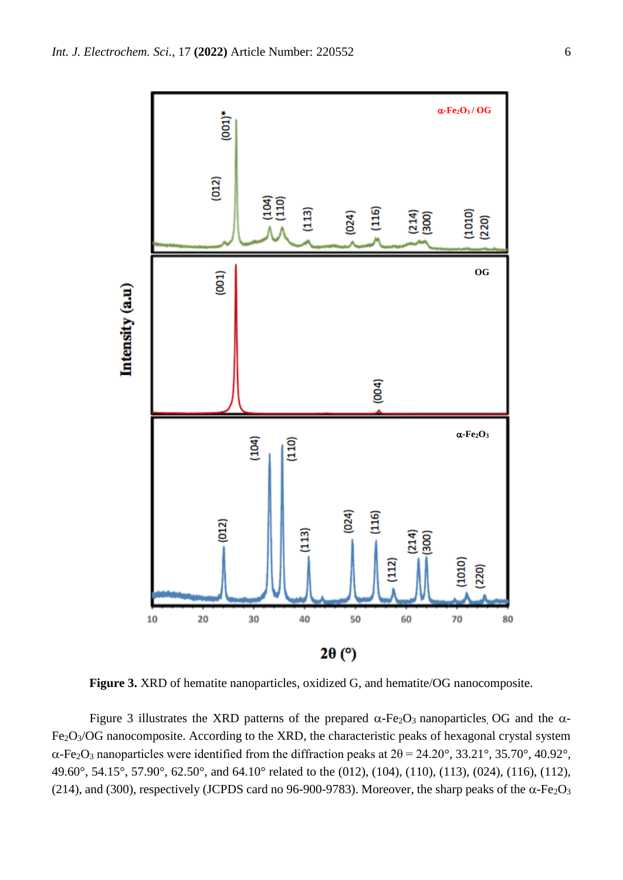

**Figure 3.** XRD of hematite nanoparticles, oxidized G, and hematite/OG nanocomposite.

Figure 3 illustrates the XRD patterns of the prepared  $\alpha$ -Fe<sub>2</sub>O<sub>3</sub> nanoparticles, OG and the  $\alpha$ -Fe2O3/OG nanocomposite. According to the XRD, the characteristic peaks of hexagonal crystal system  $\alpha$ -Fe<sub>2</sub>O<sub>3</sub> nanoparticles were identified from the diffraction peaks at  $2\theta = 24.20^{\circ}$ , 33.21°, 35.70°, 40.92°, 49.60°, 54.15°, 57.90°, 62.50°, and 64.10° related to the (012), (104), (110), (113), (024), (116), (112), (214), and (300), respectively (JCPDS card no 96-900-9783). Moreover, the sharp peaks of the  $\alpha$ -Fe<sub>2</sub>O<sub>3</sub>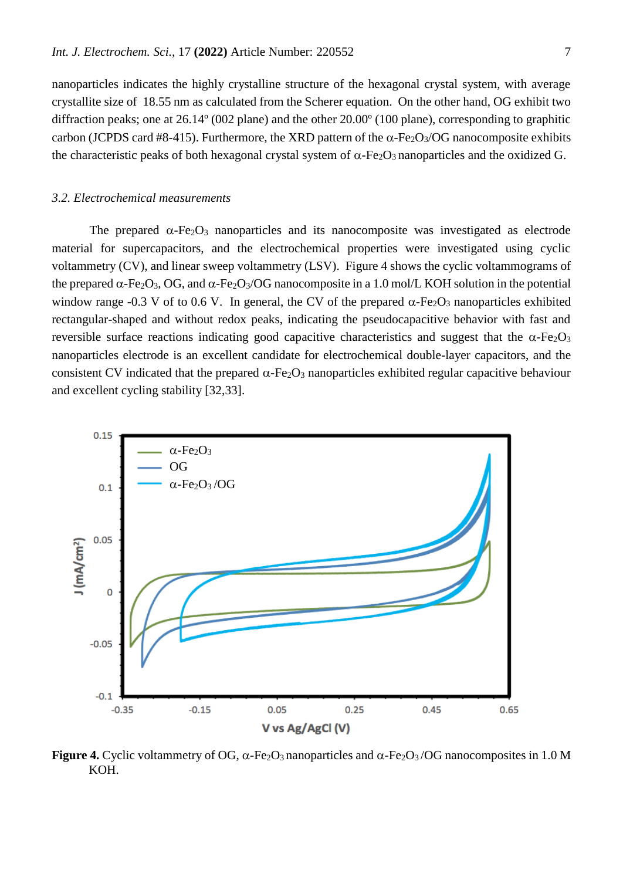nanoparticles indicates the highly crystalline structure of the hexagonal crystal system, with average crystallite size of 18.55 nm as calculated from the Scherer equation. On the other hand, OG exhibit two diffraction peaks; one at 26.14º (002 plane) and the other 20.00º (100 plane), corresponding to graphitic carbon (JCPDS card #8-415). Furthermore, the XRD pattern of the  $\alpha$ -Fe<sub>2</sub>O<sub>3</sub>/OG nanocomposite exhibits the characteristic peaks of both hexagonal crystal system of  $\alpha$ -Fe<sub>2</sub>O<sub>3</sub> nanoparticles and the oxidized G.

#### *3.2. Electrochemical measurements*

The prepared  $\alpha$ -Fe<sub>2</sub>O<sub>3</sub> nanoparticles and its nanocomposite was investigated as electrode material for supercapacitors, and the electrochemical properties were investigated using cyclic voltammetry (CV), and linear sweep voltammetry (LSV). Figure 4 shows the cyclic voltammograms of the prepared  $\alpha$ -Fe<sub>2</sub>O<sub>3</sub>, OG, and  $\alpha$ -Fe<sub>2</sub>O<sub>3</sub>/OG nanocomposite in a 1.0 mol/L KOH solution in the potential window range -0.3 V of to 0.6 V. In general, the CV of the prepared  $\alpha$ -Fe<sub>2</sub>O<sub>3</sub> nanoparticles exhibited rectangular-shaped and without redox peaks, indicating the pseudocapacitive behavior with fast and reversible surface reactions indicating good capacitive characteristics and suggest that the  $\alpha$ -Fe<sub>2</sub>O<sub>3</sub> nanoparticles electrode is an excellent candidate for electrochemical double-layer capacitors, and the consistent CV indicated that the prepared  $\alpha$ -Fe<sub>2</sub>O<sub>3</sub> nanoparticles exhibited regular capacitive behaviour and excellent cycling stability [32,33].



**Figure 4.** Cyclic voltammetry of OG,  $\alpha$ -Fe<sub>2</sub>O<sub>3</sub> nanoparticles and  $\alpha$ -Fe<sub>2</sub>O<sub>3</sub>/OG nanocomposites in 1.0 M KOH.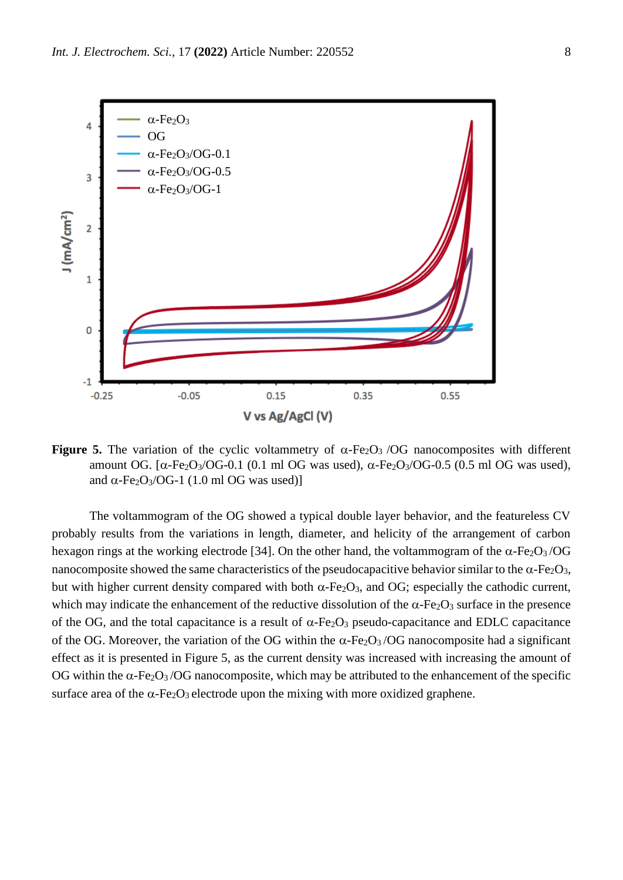

**Figure 5.** The variation of the cyclic voltammetry of  $\alpha$ -Fe<sub>2</sub>O<sub>3</sub> /OG nanocomposites with different amount OG.  $\lceil \alpha - \text{Fe}_2\text{O}_3/\text{OG}-0.1 \rceil$  (0.1 ml OG was used),  $\alpha - \text{Fe}_2\text{O}_3/\text{OG}-0.5 \rceil$  (0.5 ml OG was used), and  $\alpha$ -Fe<sub>2</sub>O<sub>3</sub>/OG-1 (1.0 ml OG was used)]

The voltammogram of the OG showed a typical double layer behavior, and the featureless CV probably results from the variations in length, diameter, and helicity of the arrangement of carbon hexagon rings at the working electrode [34]. On the other hand, the voltammogram of the  $\alpha$ -Fe<sub>2</sub>O<sub>3</sub>/OG nanocomposite showed the same characteristics of the pseudocapacitive behavior similar to the  $\alpha$ -Fe<sub>2</sub>O<sub>3</sub>, but with higher current density compared with both  $\alpha$ -Fe<sub>2</sub>O<sub>3</sub>, and OG; especially the cathodic current, which may indicate the enhancement of the reductive dissolution of the  $\alpha$ -Fe<sub>2</sub>O<sub>3</sub> surface in the presence of the OG, and the total capacitance is a result of  $\alpha$ -Fe<sub>2</sub>O<sub>3</sub> pseudo-capacitance and EDLC capacitance of the OG. Moreover, the variation of the OG within the  $\alpha$ -Fe<sub>2</sub>O<sub>3</sub>/OG nanocomposite had a significant effect as it is presented in Figure 5, as the current density was increased with increasing the amount of OG within the  $\alpha$ -Fe<sub>2</sub>O<sub>3</sub>/OG nanocomposite, which may be attributed to the enhancement of the specific surface area of the  $\alpha$ -Fe<sub>2</sub>O<sub>3</sub> electrode upon the mixing with more oxidized graphene.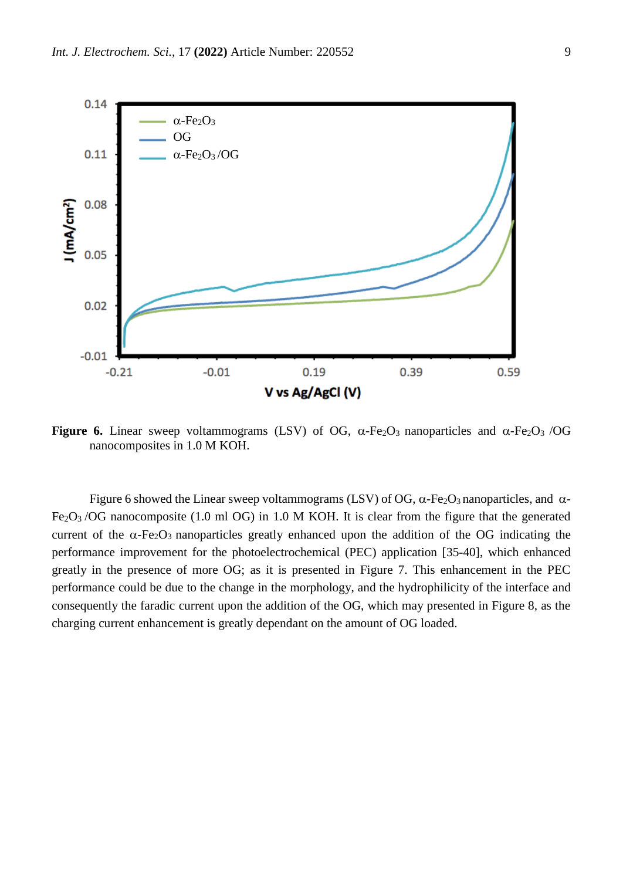

**Figure 6.** Linear sweep voltammograms (LSV) of OG,  $\alpha$ -Fe<sub>2</sub>O<sub>3</sub> nanoparticles and  $\alpha$ -Fe<sub>2</sub>O<sub>3</sub> /OG nanocomposites in 1.0 M KOH.

Figure 6 showed the Linear sweep voltammograms (LSV) of OG,  $\alpha$ -Fe<sub>2</sub>O<sub>3</sub> nanoparticles, and  $\alpha$ -Fe2O3 /OG nanocomposite (1.0 ml OG) in 1.0 M KOH. It is clear from the figure that the generated current of the  $\alpha$ -Fe<sub>2</sub>O<sub>3</sub> nanoparticles greatly enhanced upon the addition of the OG indicating the performance improvement for the photoelectrochemical (PEC) application [35-40], which enhanced greatly in the presence of more OG; as it is presented in Figure 7. This enhancement in the PEC performance could be due to the change in the morphology, and the hydrophilicity of the interface and consequently the faradic current upon the addition of the OG, which may presented in Figure 8, as the charging current enhancement is greatly dependant on the amount of OG loaded.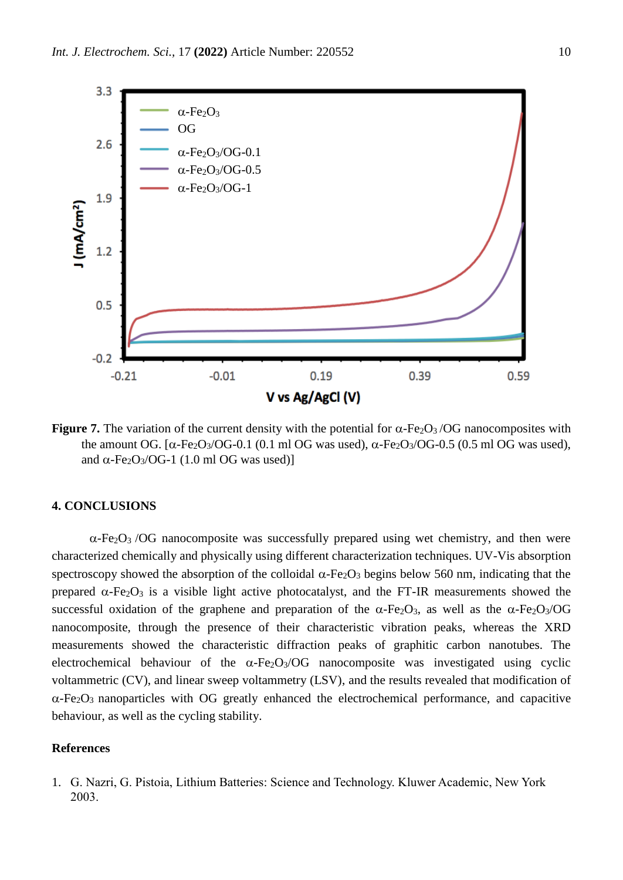

**Figure 7.** The variation of the current density with the potential for  $\alpha$ -Fe<sub>2</sub>O<sub>3</sub>/OG nanocomposites with the amount OG.  $[\alpha$ -Fe<sub>2</sub>O<sub>3</sub>/OG-0.1 (0.1 ml OG was used),  $\alpha$ -Fe<sub>2</sub>O<sub>3</sub>/OG-0.5 (0.5 ml OG was used), and  $\alpha$ -Fe<sub>2</sub>O<sub>3</sub>/OG-1 (1.0 ml OG was used)]

## **4. CONCLUSIONS**

 $\alpha$ -Fe<sub>2</sub>O<sub>3</sub> /OG nanocomposite was successfully prepared using wet chemistry, and then were characterized chemically and physically using different characterization techniques. UV-Vis absorption spectroscopy showed the absorption of the colloidal  $\alpha$ -Fe<sub>2</sub>O<sub>3</sub> begins below 560 nm, indicating that the prepared  $\alpha$ -Fe<sub>2</sub>O<sub>3</sub> is a visible light active photocatalyst, and the FT-IR measurements showed the successful oxidation of the graphene and preparation of the  $\alpha$ -Fe<sub>2</sub>O<sub>3</sub>, as well as the  $\alpha$ -Fe<sub>2</sub>O<sub>3</sub>/OG nanocomposite, through the presence of their characteristic vibration peaks, whereas the XRD measurements showed the characteristic diffraction peaks of graphitic carbon nanotubes. The electrochemical behaviour of the  $\alpha$ -Fe<sub>2</sub>O<sub>3</sub>/OG nanocomposite was investigated using cyclic voltammetric (CV), and linear sweep voltammetry (LSV), and the results revealed that modification of  $\alpha$ -Fe<sub>2</sub>O<sub>3</sub> nanoparticles with OG greatly enhanced the electrochemical performance, and capacitive behaviour, as well as the cycling stability.

# **References**

1. G. Nazri, G. Pistoia, Lithium Batteries: Science and Technology. Kluwer Academic, New York 2003.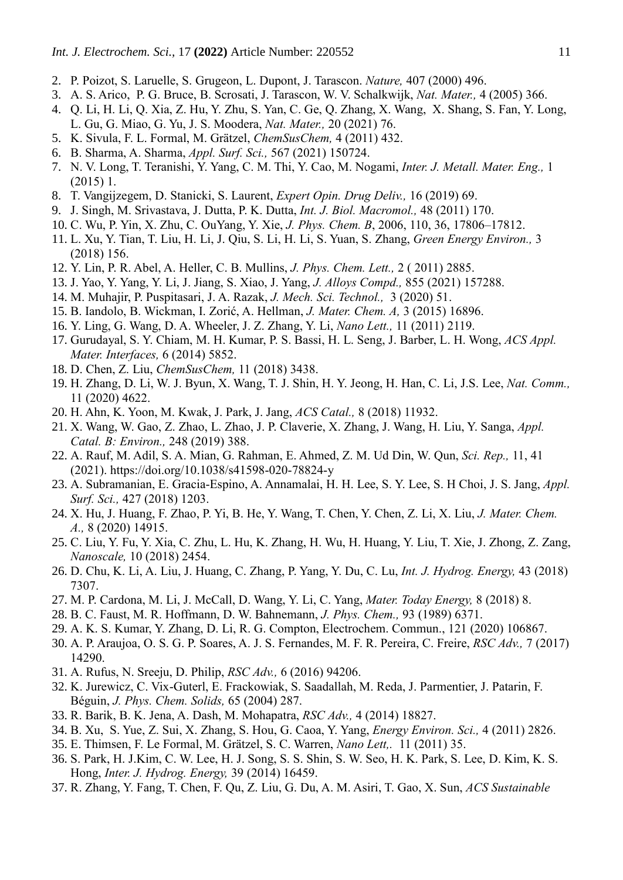- 2. P. Poizot, S. Laruelle, S. Grugeon, L. Dupont, J. Tarascon. *Nature,* 407 (2000) 496.
- 3. A. S. Arico, P. G. Bruce, B. Scrosati, J. Tarascon, W. V. Schalkwijk, *Nat. Mater.,* 4 (2005) 366.
- 4. Q. Li, H. Li, Q. Xia, Z. Hu, Y. Zhu, S. Yan, C. Ge, Q. Zhang, X. Wang, X. Shang, S. Fan, Y. Long, L. Gu, G. Miao, G. Yu, J. S. Moodera, *Nat. Mater.,* 20 (2021) 76.
- 5. K. Sivula, F. L. Formal, M. Grätzel, *ChemSusChem,* 4 (2011) 432.
- 6. B. Sharma, A. Sharma, *Appl. Surf. Sci.,* 567 (2021) 150724.
- 7. N. V. Long, T. Teranishi, Y. Yang, C. M. Thi, Y. Cao, M. Nogami, *Inter. J. Metall. Mater. Eng.,* 1 (2015) 1.
- 8. T. Vangijzegem, D. Stanicki, S. Laurent, *Expert Opin. Drug Deliv.,* 16 (2019) 69.
- 9. J. Singh, M. Srivastava, J. Dutta, P. K. Dutta, *Int. J. Biol. Macromol.,* 48 (2011) 170.
- 10. C. Wu, P. Yin, X. Zhu, C. OuYang, Y. Xie, *J. Phys. Chem. B*, 2006, 110, 36, 17806–17812.
- 11. L. Xu, Y. Tian, T. Liu, H. Li, J. Qiu, S. Li, H. Li, S. Yuan, S. Zhang, *Green Energy Environ.,* 3 (2018) 156.
- 12. Y. Lin, P. R. Abel, A. Heller, C. B. Mullins, *J. Phys. Chem. Lett.,* 2 ( 2011) 2885.
- 13. J. Yao, Y. Yang, Y. Li, J. Jiang, S. Xiao, J. Yang, *J. Alloys Compd.,* 855 (2021) 157288.
- 14. M. Muhajir, P. Puspitasari, J. A. Razak, *J. Mech. Sci. Technol.,* 3 (2020) 51.
- 15. B. Iandolo, B. Wickman, I. Zorić, A. Hellman, *J. Mater. Chem. A,* 3 (2015) 16896.
- 16. Y. Ling, G. Wang, D. A. Wheeler, J. Z. Zhang, Y. Li, *Nano Lett.,* 11 (2011) 2119.
- 17. Gurudayal, S. Y. Chiam, M. H. Kumar, P. S. Bassi, H. L. Seng, J. Barber, L. H. Wong, *ACS Appl. Mater. Interfaces,* 6 (2014) 5852.
- 18. D. Chen, Z. Liu, *ChemSusChem,* 11 (2018) 3438.
- 19. H. Zhang, D. Li, W. J. Byun, X. Wang, T. J. Shin, H. Y. Jeong, H. Han, C. Li, J.S. Lee, *Nat. Comm.,*  11 (2020) 4622.
- 20. H. Ahn, K. Yoon, M. Kwak, J. Park, J. Jang, *ACS Catal.,* 8 (2018) 11932.
- 21. X. Wang, W. Gao, Z. Zhao, L. Zhao, J. P. Claverie, X. Zhang, J. Wang, H. Liu, Y. Sanga, *Appl. Catal. B: Environ.,* 248 (2019) 388.
- 22. A. Rauf, M. Adil, S. A. Mian, G. Rahman, E. Ahmed, Z. M. Ud Din, W. Qun, *Sci. Rep.,* 11, 41 (2021). https://doi.org/10.1038/s41598-020-78824-y
- 23. A. Subramanian, E. Gracia-Espino, A. Annamalai, H. H. Lee, S. Y. Lee, S. H Choi, J. S. Jang, *Appl. Surf. Sci.,* 427 (2018) 1203.
- 24. X. Hu, J. Huang, F. Zhao, P. Yi, B. He, Y. Wang, T. Chen, Y. Chen, Z. Li, X. Liu, *J. Mater. Chem. A.,* 8 (2020) 14915.
- 25. C. Liu, Y. Fu, Y. Xia, C. Zhu, L. Hu, K. Zhang, H. Wu, H. Huang, Y. Liu, T. Xie, J. Zhong, Z. Zang, *Nanoscale,* 10 (2018) 2454.
- 26. D. Chu, K. Li, A. Liu, J. Huang, C. Zhang, P. Yang, Y. Du, C. Lu, *Int. J. Hydrog. Energy,* 43 (2018) 7307.
- 27. M. P. Cardona, M. Li, J. McCall, D. Wang, Y. Li, C. Yang, *Mater. Today Energy,* 8 (2018) 8.
- 28. B. C. Faust, M. R. Hoffmann, D. W. Bahnemann, *J. Phys. Chem.,* 93 (1989) 6371.
- 29. A. K. S. Kumar, Y. Zhang, D. Li, R. G. Compton, Electrochem. Commun., 121 (2020) 106867.
- 30. A. P. Araujoa, O. S. G. P. Soares, A. J. S. Fernandes, M. F. R. Pereira, C. Freire, *RSC Adv.,* 7 (2017) 14290.
- 31. A. Rufus, N. Sreeju, D. Philip, *RSC Adv.,* 6 (2016) 94206.
- 32. K. Jurewicz, C. Vix-Guterl, E. Frackowiak, S. Saadallah, M. Reda, J. Parmentier, J. Patarin, F. Béguin, *J. Phys. Chem. Solids,* 65 (2004) 287.
- 33. R. Barik, B. K. Jena, A. Dash, M. Mohapatra, *RSC Adv.,* 4 (2014) 18827.
- 34. B. Xu, S. Yue, Z. Sui, X. Zhang, S. Hou, G. Caoa, Y. Yang, *Energy Environ. Sci.,* 4 (2011) 2826.
- 35. E. Thimsen, F. Le Formal, M. Grätzel, S. C. Warren, *Nano Lett,.* 11 (2011) 35.
- 36. S. Park, H. J.Kim, C. W. Lee, H. J. Song, S. S. Shin, S. W. Seo, H. K. Park, S. Lee, D. Kim, K. S. Hong, *Inter. J. Hydrog. Energy,* 39 (2014) 16459.
- 37. R. Zhang, Y. Fang, T. Chen, F. Qu, Z. Liu, G. Du, A. M. Asiri, T. Gao, X. Sun, *ACS Sustainable*